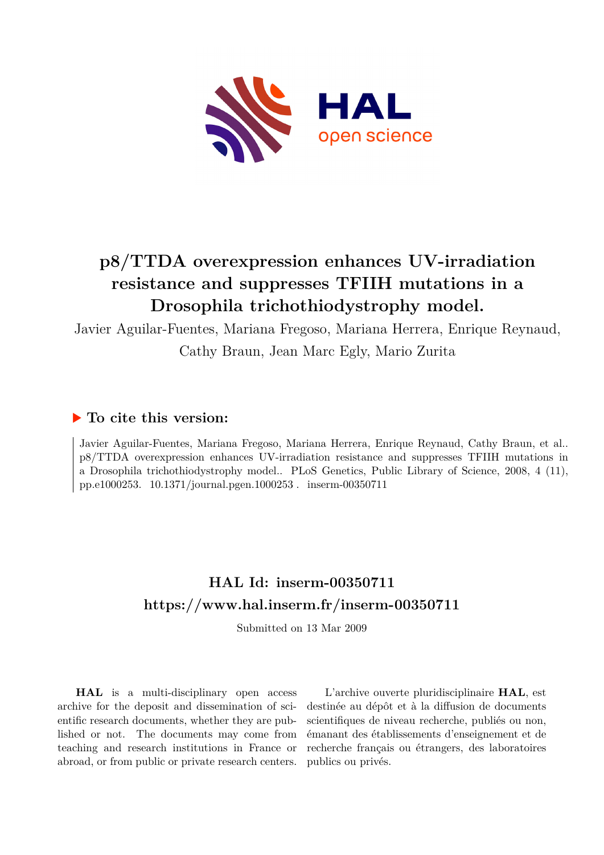

# **p8/TTDA overexpression enhances UV-irradiation resistance and suppresses TFIIH mutations in a Drosophila trichothiodystrophy model.**

Javier Aguilar-Fuentes, Mariana Fregoso, Mariana Herrera, Enrique Reynaud,

Cathy Braun, Jean Marc Egly, Mario Zurita

# **To cite this version:**

Javier Aguilar-Fuentes, Mariana Fregoso, Mariana Herrera, Enrique Reynaud, Cathy Braun, et al.. p8/TTDA overexpression enhances UV-irradiation resistance and suppresses TFIIH mutations in a Drosophila trichothiodystrophy model.. PLoS Genetics, Public Library of Science, 2008, 4 (11), pp.e1000253. 10.1371/journal.pgen.1000253. inserm-00350711

# **HAL Id: inserm-00350711 <https://www.hal.inserm.fr/inserm-00350711>**

Submitted on 13 Mar 2009

**HAL** is a multi-disciplinary open access archive for the deposit and dissemination of scientific research documents, whether they are published or not. The documents may come from teaching and research institutions in France or abroad, or from public or private research centers.

L'archive ouverte pluridisciplinaire **HAL**, est destinée au dépôt et à la diffusion de documents scientifiques de niveau recherche, publiés ou non, émanant des établissements d'enseignement et de recherche français ou étrangers, des laboratoires publics ou privés.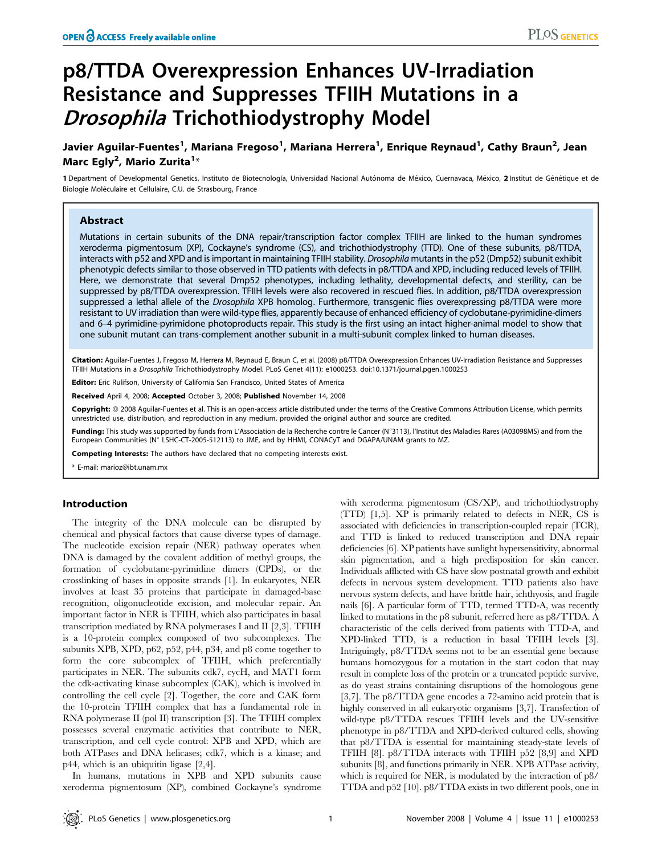# p8/TTDA Overexpression Enhances UV-Irradiation Resistance and Suppresses TFIIH Mutations in a Drosophila Trichothiodystrophy Model

Javier Aguilar-Fuentes<sup>1</sup>, Mariana Fregoso<sup>1</sup>, Mariana Herrera<sup>1</sup>, Enrique Reynaud<sup>1</sup>, Cathy Braun<sup>2</sup>, Jean Marc Egly<sup>2</sup>, Mario Zurita<sup>1</sup>\*

1 Department of Developmental Genetics, Instituto de Biotecnología, Universidad Nacional Autónoma de México, Cuernavaca, México, 2 Institut de Génétique et de Biologie Moléculaire et Cellulaire, C.U. de Strasbourg, France

# Abstract

Mutations in certain subunits of the DNA repair/transcription factor complex TFIIH are linked to the human syndromes xeroderma pigmentosum (XP), Cockayne's syndrome (CS), and trichothiodystrophy (TTD). One of these subunits, p8/TTDA, interacts with p52 and XPD and is important in maintaining TFIIH stability. Drosophila mutants in the p52 (Dmp52) subunit exhibit phenotypic defects similar to those observed in TTD patients with defects in p8/TTDA and XPD, including reduced levels of TFIIH. Here, we demonstrate that several Dmp52 phenotypes, including lethality, developmental defects, and sterility, can be suppressed by p8/TTDA overexpression. TFIIH levels were also recovered in rescued flies. In addition, p8/TTDA overexpression suppressed a lethal allele of the Drosophila XPB homolog. Furthermore, transgenic flies overexpressing p8/TTDA were more resistant to UV irradiation than were wild-type flies, apparently because of enhanced efficiency of cyclobutane-pyrimidine-dimers and 6–4 pyrimidine-pyrimidone photoproducts repair. This study is the first using an intact higher-animal model to show that one subunit mutant can trans-complement another subunit in a multi-subunit complex linked to human diseases.

Citation: Aguilar-Fuentes J, Fregoso M, Herrera M, Reynaud E, Braun C, et al. (2008) p8/TTDA Overexpression Enhances UV-Irradiation Resistance and Suppresses TFIIH Mutations in a Drosophila Trichothiodystrophy Model. PLoS Genet 4(11): e1000253. doi:10.1371/journal.pgen.1000253

Editor: Eric Rulifson, University of California San Francisco, United States of America

Received April 4, 2008; Accepted October 3, 2008; Published November 14, 2008

Copyright: @ 2008 Aguilar-Fuentes et al. This is an open-access article distributed under the terms of the Creative Commons Attribution License, which permits unrestricted use, distribution, and reproduction in any medium, provided the original author and source are credited.

Funding: This study was supported by funds from L'Association de la Recherche contre le Cancer (N°3113), l'Institut des Maladies Rares (A03098MS) and from the European Communities (N° LSHC-CT-2005-512113) to JME, and by HHMI, CONACyT and DGAPA/UNAM grants to MZ.

Competing Interests: The authors have declared that no competing interests exist.

E-mail: marioz@ibt.unam.mx

## Introduction

The integrity of the DNA molecule can be disrupted by chemical and physical factors that cause diverse types of damage. The nucleotide excision repair (NER) pathway operates when DNA is damaged by the covalent addition of methyl groups, the formation of cyclobutane-pyrimidine dimers (CPDs), or the crosslinking of bases in opposite strands [1]. In eukaryotes, NER involves at least 35 proteins that participate in damaged-base recognition, oligonucleotide excision, and molecular repair. An important factor in NER is TFIIH, which also participates in basal transcription mediated by RNA polymerases I and II [2,3]. TFIIH is a 10-protein complex composed of two subcomplexes. The subunits XPB, XPD, p62, p52, p44, p34, and p8 come together to form the core subcomplex of TFIIH, which preferentially participates in NER. The subunits cdk7, cycH, and MAT1 form the cdk-activating kinase subcomplex (CAK), which is involved in controlling the cell cycle [2]. Together, the core and CAK form the 10-protein TFIIH complex that has a fundamental role in RNA polymerase II (pol II) transcription [3]. The TFIIH complex possesses several enzymatic activities that contribute to NER, transcription, and cell cycle control: XPB and XPD, which are both ATPases and DNA helicases; cdk7, which is a kinase; and p44, which is an ubiquitin ligase [2,4].

In humans, mutations in XPB and XPD subunits cause xeroderma pigmentosum (XP), combined Cockayne's syndrome with xeroderma pigmentosum (CS/XP), and trichothiodystrophy (TTD) [1,5]. XP is primarily related to defects in NER, CS is associated with deficiencies in transcription-coupled repair (TCR), and TTD is linked to reduced transcription and DNA repair deficiencies [6]. XP patients have sunlight hypersensitivity, abnormal skin pigmentation, and a high predisposition for skin cancer. Individuals afflicted with CS have slow postnatal growth and exhibit defects in nervous system development. TTD patients also have nervous system defects, and have brittle hair, ichthyosis, and fragile nails [6]. A particular form of TTD, termed TTD-A, was recently linked to mutations in the p8 subunit, referred here as p8/TTDA. A characteristic of the cells derived from patients with TTD-A, and XPD-linked TTD, is a reduction in basal TFIIH levels [3]. Intriguingly, p8/TTDA seems not to be an essential gene because humans homozygous for a mutation in the start codon that may result in complete loss of the protein or a truncated peptide survive, as do yeast strains containing disruptions of the homologous gene [3,7]. The p8/TTDA gene encodes a 72-amino acid protein that is highly conserved in all eukaryotic organisms [3,7]. Transfection of wild-type p8/TTDA rescues TFIIH levels and the UV-sensitive phenotype in p8/TTDA and XPD-derived cultured cells, showing that p8/TTDA is essential for maintaining steady-state levels of TFIIH [8]. p8/TTDA interacts with TFIIH p52 [8,9] and XPD subunits [8], and functions primarily in NER. XPB ATPase activity, which is required for NER, is modulated by the interaction of p8/ TTDA and p52 [10]. p8/TTDA exists in two different pools, one in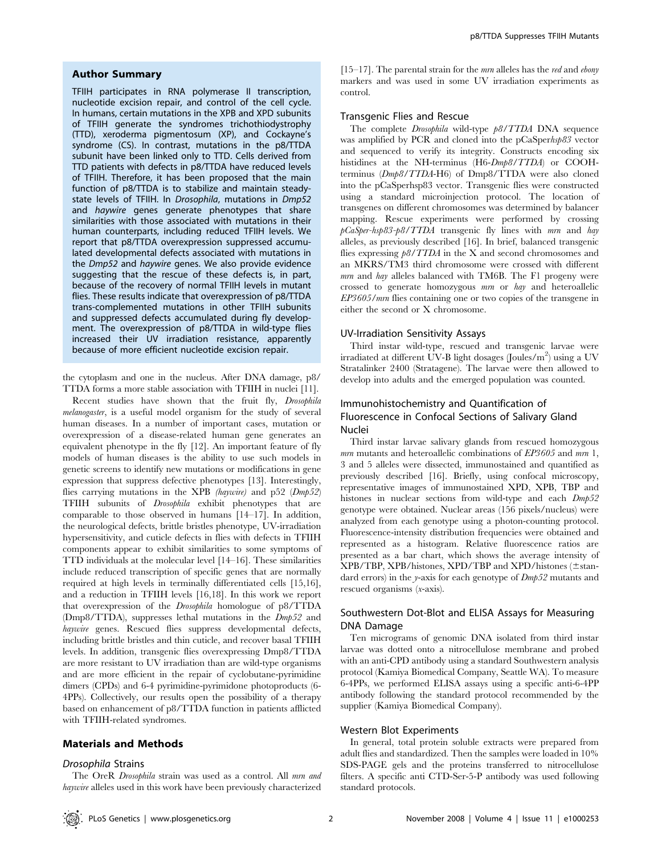## Author Summary

TFIIH participates in RNA polymerase II transcription, nucleotide excision repair, and control of the cell cycle. In humans, certain mutations in the XPB and XPD subunits of TFIIH generate the syndromes trichothiodystrophy (TTD), xeroderma pigmentosum (XP), and Cockayne's syndrome (CS). In contrast, mutations in the p8/TTDA subunit have been linked only to TTD. Cells derived from TTD patients with defects in p8/TTDA have reduced levels of TFIIH. Therefore, it has been proposed that the main function of p8/TTDA is to stabilize and maintain steadystate levels of TFIIH. In Drosophila, mutations in Dmp52 and haywire genes generate phenotypes that share similarities with those associated with mutations in their human counterparts, including reduced TFIIH levels. We report that p8/TTDA overexpression suppressed accumulated developmental defects associated with mutations in the Dmp52 and haywire genes. We also provide evidence suggesting that the rescue of these defects is, in part, because of the recovery of normal TFIIH levels in mutant flies. These results indicate that overexpression of p8/TTDA trans-complemented mutations in other TFIIH subunits and suppressed defects accumulated during fly development. The overexpression of p8/TTDA in wild-type flies increased their UV irradiation resistance, apparently because of more efficient nucleotide excision repair.

the cytoplasm and one in the nucleus. After DNA damage, p8/ TTDA forms a more stable association with TFIIH in nuclei [11].

Recent studies have shown that the fruit fly, Drosophila melanogaster, is a useful model organism for the study of several human diseases. In a number of important cases, mutation or overexpression of a disease-related human gene generates an equivalent phenotype in the fly [12]. An important feature of fly models of human diseases is the ability to use such models in genetic screens to identify new mutations or modifications in gene expression that suppress defective phenotypes [13]. Interestingly, flies carrying mutations in the XPB (haywire) and p52 (Dmp52) TFIIH subunits of Drosophila exhibit phenotypes that are comparable to those observed in humans [14–17]. In addition, the neurological defects, brittle bristles phenotype, UV-irradiation hypersensitivity, and cuticle defects in flies with defects in TFIIH components appear to exhibit similarities to some symptoms of TTD individuals at the molecular level [14–16]. These similarities include reduced transcription of specific genes that are normally required at high levels in terminally differentiated cells [15,16], and a reduction in TFIIH levels [16,18]. In this work we report that overexpression of the Drosophila homologue of p8/TTDA (Dmp8/TTDA), suppresses lethal mutations in the Dmp52 and haywire genes. Rescued flies suppress developmental defects, including brittle bristles and thin cuticle, and recover basal TFIIH levels. In addition, transgenic flies overexpressing Dmp8/TTDA are more resistant to UV irradiation than are wild-type organisms and are more efficient in the repair of cyclobutane-pyrimidine dimers (CPDs) and 6-4 pyrimidine-pyrimidone photoproducts (6- 4PPs). Collectively, our results open the possibility of a therapy based on enhancement of p8/TTDA function in patients afflicted with TFIIH-related syndromes.

# Materials and Methods

## Drosophila Strains

The OreR Drosophila strain was used as a control. All mrn and haywire alleles used in this work have been previously characterized  $[15–17]$ . The parental strain for the *mm* alleles has the *red* and *ebony* markers and was used in some UV irradiation experiments as control.

## Transgenic Flies and Rescue

The complete Drosophila wild-type p8/TTDA DNA sequence was amplified by PCR and cloned into the pCaSperhsp83 vector and sequenced to verify its integrity. Constructs encoding six histidines at the NH-terminus (H6-Dmp8/TTDA) or COOHterminus (Dmp8/TTDA-H6) of Dmp8/TTDA were also cloned into the pCaSperhsp83 vector. Transgenic flies were constructed using a standard microinjection protocol. The location of transgenes on different chromosomes was determined by balancer mapping. Rescue experiments were performed by crossing pCaSper-hsp83-p8/TTDA transgenic fly lines with mrn and hay alleles, as previously described [16]. In brief, balanced transgenic flies expressing  $\beta\beta$ /TTDA in the X and second chromosomes and an MKRS/TM3 third chromosome were crossed with different mrn and hay alleles balanced with TM6B. The F1 progeny were crossed to generate homozygous mrn or hay and heteroallelic EP3605/mrn flies containing one or two copies of the transgene in either the second or X chromosome.

## UV-Irradiation Sensitivity Assays

Third instar wild-type, rescued and transgenic larvae were irradiated at different UV-B light dosages (Joules/m<sup>2</sup>) using a UV Stratalinker 2400 (Stratagene). The larvae were then allowed to develop into adults and the emerged population was counted.

# Immunohistochemistry and Quantification of Fluorescence in Confocal Sections of Salivary Gland Nuclei

Third instar larvae salivary glands from rescued homozygous  $m\bar{m}$  mutants and heteroallelic combinations of  $E P 3605$  and  $m\bar{m}$  1, 3 and 5 alleles were dissected, immunostained and quantified as previously described [16]. Briefly, using confocal microscopy, representative images of immunostained XPD, XPB, TBP and histones in nuclear sections from wild-type and each  $Dmp52$ genotype were obtained. Nuclear areas (156 pixels/nucleus) were analyzed from each genotype using a photon-counting protocol. Fluorescence-intensity distribution frequencies were obtained and represented as a histogram. Relative fluorescence ratios are presented as a bar chart, which shows the average intensity of XPB/TBP, XPB/histones, XPD/TBP and XPD/histones ( $\pm$ standard errors) in the *y*-axis for each genotype of  $Dmp52$  mutants and rescued organisms (x-axis).

# Southwestern Dot-Blot and ELISA Assays for Measuring DNA Damage

Ten micrograms of genomic DNA isolated from third instar larvae was dotted onto a nitrocellulose membrane and probed with an anti-CPD antibody using a standard Southwestern analysis protocol (Kamiya Biomedical Company, Seattle WA). To measure 6-4PPs, we performed ELISA assays using a specific anti-6-4PP antibody following the standard protocol recommended by the supplier (Kamiya Biomedical Company).

### Western Blot Experiments

In general, total protein soluble extracts were prepared from adult flies and standardized. Then the samples were loaded in 10% SDS-PAGE gels and the proteins transferred to nitrocellulose filters. A specific anti CTD-Ser-5-P antibody was used following standard protocols.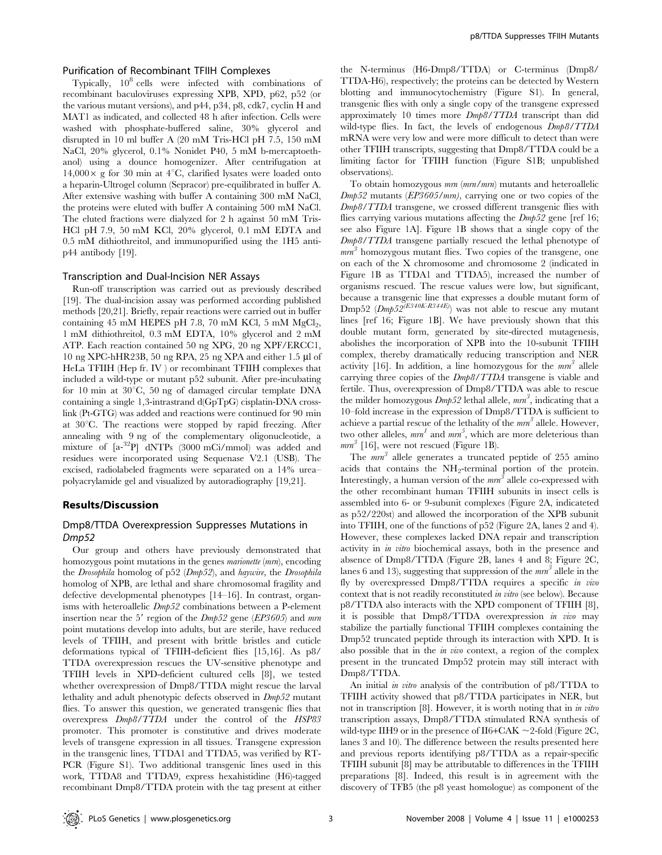#### p8/TTDA Suppresses TFIIH Mutants

## Purification of Recombinant TFIIH Complexes

Typically,  $10^8$  cells were infected with combinations of recombinant baculoviruses expressing XPB, XPD, p62, p52 (or the various mutant versions), and p44, p34, p8, cdk7, cyclin H and MAT1 as indicated, and collected 48 h after infection. Cells were washed with phosphate-buffered saline, 30% glycerol and disrupted in 10 ml buffer A (20 mM Tris-HCl pH 7.5, 150 mM NaCl, 20% glycerol, 0.1% Nonidet P40, 5 mM b-mercaptoethanol) using a dounce homogenizer. After centrifugation at  $14,000\times$  g for 30 min at 4<sup>°</sup>C, clarified lysates were loaded onto a heparin-Ultrogel column (Sepracor) pre-equilibrated in buffer A. After extensive washing with buffer A containing 300 mM NaCl, the proteins were eluted with buffer A containing 500 mM NaCl. The eluted fractions were dialyzed for 2 h against 50 mM Tris-HCl pH 7.9, 50 mM KCl, 20% glycerol, 0.1 mM EDTA and 0.5 mM dithiothreitol, and immunopurified using the 1H5 antip44 antibody [19].

# Transcription and Dual-Incision NER Assays

Run-off transcription was carried out as previously described [19]. The dual-incision assay was performed according published methods [20,21]. Briefly, repair reactions were carried out in buffer containing  $45 \text{ mM HEPES pH } 7.8$ ,  $70 \text{ mM KCl}$ ,  $5 \text{ mM MgCl}_2$ , 1 mM dithiothreitol, 0.3 mM EDTA, 10% glycerol and 2 mM ATP. Each reaction contained 50 ng XPG, 20 ng XPF/ERCC1, 10 ng XPC-hHR23B, 50 ng RPA, 25 ng XPA and either 1.5 µl of HeLa TFIIH (Hep fr. IV ) or recombinant TFIIH complexes that included a wild-type or mutant p52 subunit. After pre-incubating for 10 min at  $30^{\circ}$ C, 50 ng of damaged circular template DNA containing a single 1,3-intrastrand d(GpTpG) cisplatin-DNA crosslink (Pt-GTG) was added and reactions were continued for 90 min at  $30^{\circ}$ C. The reactions were stopped by rapid freezing. After annealing with 9 ng of the complementary oligonucleotide, a mixture of  $[a^{-32}P]$  dNTPs (3000 mCi/mmol) was added and residues were incorporated using Sequenase V2.1 (USB). The excised, radiolabeled fragments were separated on a 14% urea– polyacrylamide gel and visualized by autoradiography [19,21].

### Results/Discussion

# Dmp8/TTDA Overexpression Suppresses Mutations in Dmp52

Our group and others have previously demonstrated that homozygous point mutations in the genes *marionette* (*mrn*), encoding the Drosophila homolog of p52 (Dmp52), and haywire, the Drosophila homolog of XPB, are lethal and share chromosomal fragility and defective developmental phenotypes [14–16]. In contrast, organisms with heteroallelic Dmp52 combinations between a P-element insertion near the 5' region of the  $Dmp52$  gene ( $EP3605$ ) and mm point mutations develop into adults, but are sterile, have reduced levels of TFIIH, and present with brittle bristles and cuticle deformations typical of TFIIH-deficient flies [15,16]. As p8/ TTDA overexpression rescues the UV-sensitive phenotype and TFIIH levels in XPD-deficient cultured cells [8], we tested whether overexpression of Dmp8/TTDA might rescue the larval lethality and adult phenotypic defects observed in Dmp52 mutant flies. To answer this question, we generated transgenic flies that overexpress Dmp8/TTDA under the control of the HSP83 promoter. This promoter is constitutive and drives moderate levels of transgene expression in all tissues. Transgene expression in the transgenic lines, TTDA1 and TTDA5, was verified by RT-PCR (Figure S1). Two additional transgenic lines used in this work, TTDA8 and TTDA9, express hexahistidine (H6)-tagged recombinant Dmp8/TTDA protein with the tag present at either

the N-terminus (H6-Dmp8/TTDA) or C-terminus (Dmp8/ TTDA-H6), respectively; the proteins can be detected by Western blotting and immunocytochemistry (Figure S1). In general, transgenic flies with only a single copy of the transgene expressed approximately 10 times more Dmp8/TTDA transcript than did wild-type flies. In fact, the levels of endogenous  $Dmp8/TTDA$ mRNA were very low and were more difficult to detect than were other TFIIH transcripts, suggesting that Dmp8/TTDA could be a limiting factor for TFIIH function (Figure S1B; unpublished observations).

To obtain homozygous mrn (mrn/mrn) mutants and heteroallelic Dmp52 mutants (EP3605/mrn), carrying one or two copies of the Dmp8/TTDA transgene, we crossed different transgenic flies with flies carrying various mutations affecting the  $Dmp52$  gene [ref 16; see also Figure 1A]. Figure 1B shows that a single copy of the Dmp8/TTDA transgene partially rescued the lethal phenotype of  $mm<sup>3</sup>$  homozygous mutant flies. Two copies of the transgene, one on each of the X chromosome and chromosome 2 (indicated in Figure 1B as TTDA1 and TTDA5), increased the number of organisms rescued. The rescue values were low, but significant, because a transgenic line that expresses a double mutant form of Dmp52 ( $Dmp52^{(E340K-R344E)}$ ) was not able to rescue any mutant lines [ref 16; Figure 1B]. We have previously shown that this double mutant form, generated by site-directed mutagenesis, abolishes the incorporation of XPB into the 10-subunit TFIIH complex, thereby dramatically reducing transcription and NER activity [16]. In addition, a line homozygous for the  $mm<sup>3</sup>$  allele carrying three copies of the Dmp8/TTDA transgene is viable and fertile. Thus, overexpression of Dmp8/TTDA was able to rescue the milder homozygous  $Dmp52$  lethal allele,  $mm^3$ , indicating that a 10–fold increase in the expression of Dmp8/TTDA is sufficient to achieve a partial rescue of the lethality of the  $mm<sup>3</sup>$  allele. However, two other alleles,  $mm^1$  and  $mm^5$ , which are more deleterious than  $mm^3$  [16], were not rescued (Figure 1B).

The  $mm^3$  allele generates a truncated peptide of 255 amino acids that contains the NH2-terminal portion of the protein. Interestingly, a human version of the  $mm<sup>3</sup>$  allele co-expressed with the other recombinant human TFIIH subunits in insect cells is assembled into 6- or 9-subunit complexes (Figure 2A, indicateted as p52/220st) and allowed the incorporation of the XPB subunit into TFIIH, one of the functions of p52 (Figure 2A, lanes 2 and 4). However, these complexes lacked DNA repair and transcription activity in in vitro biochemical assays, both in the presence and absence of Dmp8/TTDA (Figure 2B, lanes 4 and 8; Figure 2C, lanes 6 and 13), suggesting that suppression of the  $mm<sup>3</sup>$  allele in the fly by overexpressed Dmp8/TTDA requires a specific in vivo context that is not readily reconstituted in vitro (see below). Because p8/TTDA also interacts with the XPD component of TFIIH [8], it is possible that Dmp8/TTDA overexpression in vivo may stabilize the partially functional TFIIH complexes containing the Dmp52 truncated peptide through its interaction with XPD. It is also possible that in the in vivo context, a region of the complex present in the truncated Dmp52 protein may still interact with Dmp8/TTDA.

An initial *in vitro* analysis of the contribution of p8/TTDA to TFIIH activity showed that p8/TTDA participates in NER, but not in transcription [8]. However, it is worth noting that in in vitro transcription assays, Dmp8/TTDA stimulated RNA synthesis of wild-type IIH9 or in the presence of II6+CAK  $\sim$  2-fold (Figure 2C, lanes 3 and 10). The difference between the results presented here and previous reports identifying p8/TTDA as a repair-specific TFIIH subunit [8] may be attributable to differences in the TFIIH preparations [8]. Indeed, this result is in agreement with the discovery of TFB5 (the p8 yeast homologue) as component of the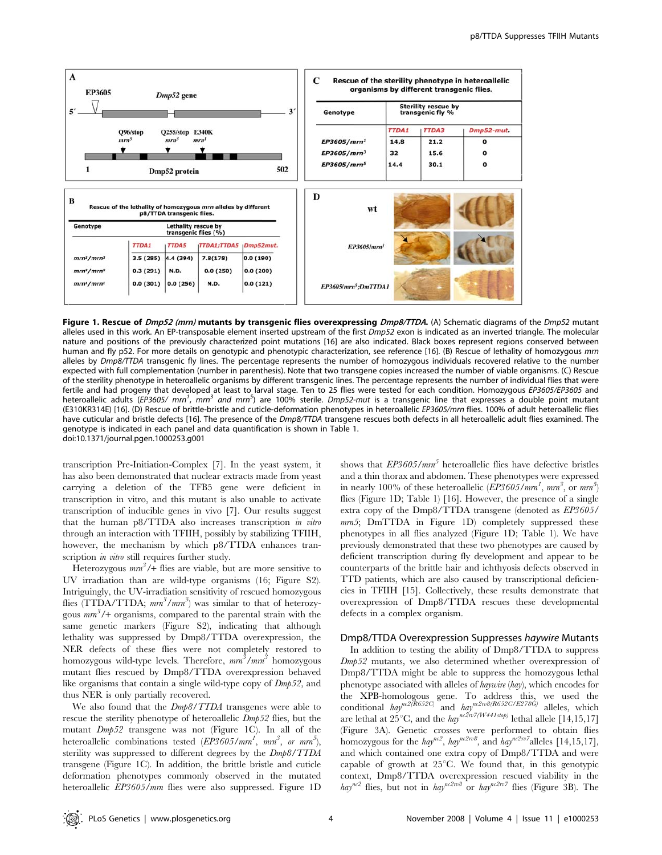

Figure 1. Rescue of Dmp52 (mrn) mutants by transgenic flies overexpressing Dmp8/TTDA. (A) Schematic diagrams of the Dmp52 mutant alleles used in this work. An EP-transposable element inserted upstream of the first Dmp52 exon is indicated as an inverted triangle. The molecular nature and positions of the previously characterized point mutations [16] are also indicated. Black boxes represent regions conserved between human and fly p52. For more details on genotypic and phenotypic characterization, see reference [16]. (B) Rescue of lethality of homozygous mrn alleles by Dmp8/TTDA transgenic fly lines. The percentage represents the number of homozygous individuals recovered relative to the number expected with full complementation (number in parenthesis). Note that two transgene copies increased the number of viable organisms. (C) Rescue of the sterility phenotype in heteroallelic organisms by different transgenic lines. The percentage represents the number of individual flies that were fertile and had progeny that developed at least to larval stage. Ten to 25 flies were tested for each condition. Homozygous EP3605/EP3605 and heteroallelic adults (EP3605/ mrn<sup>1</sup>, mrn<sup>3</sup> and mrn<sup>5</sup>) are 100% sterile. Dmp52-mut is a transgenic line that expresses a double point mutant (E310KR314E) [16]. (D) Rescue of brittle-bristle and cuticle-deformation phenotypes in heteroallelic EP3605/mrn flies. 100% of adult heteroallelic flies have cuticular and bristle defects [16]. The presence of the Dmp8/TTDA transgene rescues both defects in all heteroallelic adult flies examined. The genotype is indicated in each panel and data quantification is shown in Table 1. doi:10.1371/journal.pgen.1000253.g001

transcription Pre-Initiation-Complex [7]. In the yeast system, it has also been demonstrated that nuclear extracts made from yeast carrying a deletion of the TFB5 gene were deficient in transcription in vitro, and this mutant is also unable to activate transcription of inducible genes in vivo [7]. Our results suggest that the human p8/TTDA also increases transcription in vitro through an interaction with TFIIH, possibly by stabilizing TFIIH, however, the mechanism by which p8/TTDA enhances transcription *in vitro* still requires further study.

Heterozygous  $mm^3/$ + flies are viable, but are more sensitive to UV irradiation than are wild-type organisms (16; Figure S2). Intriguingly, the UV-irradiation sensitivity of rescued homozygous flies (TTDA/TTDA;  $mm^3/mm^3$ ) was similar to that of heterozygous  $mm^3/$ + organisms, compared to the parental strain with the same genetic markers (Figure S2), indicating that although lethality was suppressed by Dmp8/TTDA overexpression, the NER defects of these flies were not completely restored to homozygous wild-type levels. Therefore,  $\textit{mm}^{3}/\textit{mm}^{3}$  homozygous mutant flies rescued by Dmp8/TTDA overexpression behaved like organisms that contain a single wild-type copy of  $Dmp52$ , and thus NER is only partially recovered.

We also found that the  $Dmp8/TTDA$  transgenes were able to rescue the sterility phenotype of heteroallelic  $Dmp52$  flies, but the mutant Dmp52 transgene was not (Figure 1C). In all of the heteroallelic combinations tested  $\sqrt{(EP3605/mm^1}, \, \textit{mm}^3, \, \textit{or} \, \textit{mm}^5),$ sterility was suppressed to different degrees by the Dmp8/TTDA transgene (Figure 1C). In addition, the brittle bristle and cuticle deformation phenotypes commonly observed in the mutated heteroallelic EP3605/mrn flies were also suppressed. Figure 1D shows that  $E P3605/mm^5$  heteroallelic flies have defective bristles and a thin thorax and abdomen. These phenotypes were expressed in nearly 100% of these heteroallelic  $\langle \overline{E}P3605/mm^1, m m^3, \text{ or } m m^5 \rangle$ flies (Figure 1D; Table 1) [16]. However, the presence of a single extra copy of the Dmp8/TTDA transgene (denoted as EP3605/ mrn5; DmTTDA in Figure 1D) completely suppressed these phenotypes in all flies analyzed (Figure 1D; Table 1). We have previously demonstrated that these two phenotypes are caused by deficient transcription during fly development and appear to be counterparts of the brittle hair and ichthyosis defects observed in TTD patients, which are also caused by transcriptional deficiencies in TFIIH [15]. Collectively, these results demonstrate that overexpression of Dmp8/TTDA rescues these developmental defects in a complex organism.

### Dmp8/TTDA Overexpression Suppresses haywire Mutants

In addition to testing the ability of Dmp8/TTDA to suppress Dmp52 mutants, we also determined whether overexpression of Dmp8/TTDA might be able to suppress the homozygous lethal phenotype associated with alleles of haywire (hay), which encodes for the XPB-homologous gene. To address this, we used the conditional  $\hbar ay^{nc2(\tilde{R}652C)}$  and  $\hbar ay^{nc2\pi\theta(R652C/E278G)}$  alleles, which are lethal at  $25^{\circ}\text{C}$ , and the  $\text{hay}^{\text{nc2n7}(W441stop)}$  lethal allele [14,15,17] (Figure 3A). Genetic crosses were performed to obtain flies homozygous for the  $\hbar ay^{nc^2}$ ,  $\hbar ay^{nc^2}$ , and  $\hbar ay^{nc^2}$  alleles [14,15,17], and which contained one extra copy of Dmp8/TTDA and were capable of growth at  $25^{\circ}$ C. We found that, in this genotypic context, Dmp8/TTDA overexpression rescued viability in the hay<sup>nc2</sup> flies, but not in  $hay^{nc2n8}$  or  $hay^{nc2n7}$  flies (Figure 3B). The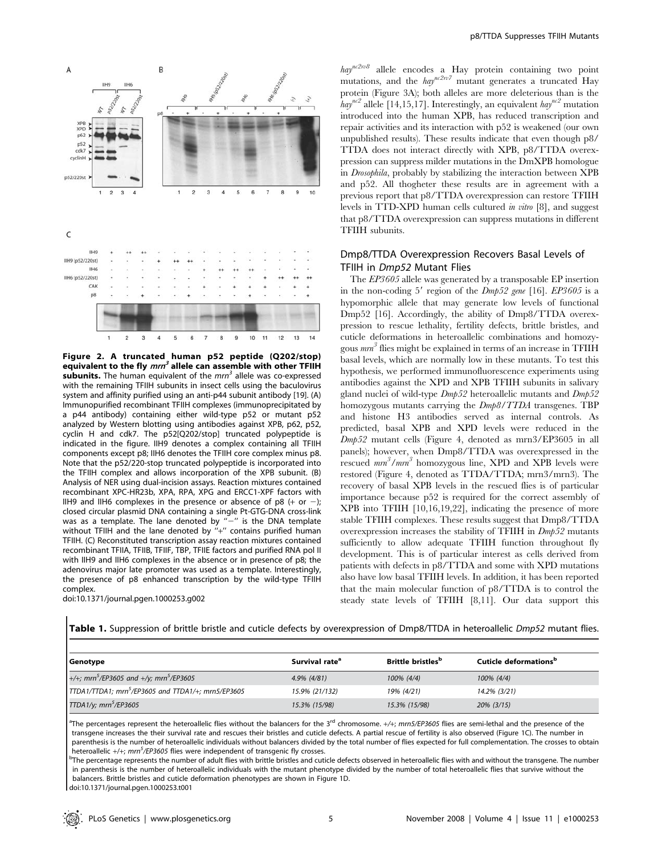

Figure 2. A truncated human p52 peptide (Q202/stop) equivalent to the fly  $m r n<sup>3</sup>$  allele can assemble with other TFIIH subunits. The human equivalent of the  $m n<sup>3</sup>$  allele was co-expressed with the remaining TFIIH subunits in insect cells using the baculovirus system and affinity purified using an anti-p44 subunit antibody [19]. (A) Immunopurified recombinant TFIIH complexes (immunoprecipitated by a p44 antibody) containing either wild-type p52 or mutant p52 analyzed by Western blotting using antibodies against XPB, p62, p52, cyclin H and cdk7. The p52[Q202/stop] truncated polypeptide is indicated in the figure. IIH9 denotes a complex containing all TFIIH components except p8; IIH6 denotes the TFIIH core complex minus p8. Note that the p52/220-stop truncated polypeptide is incorporated into the TFIIH complex and allows incorporation of the XPB subunit. (B) Analysis of NER using dual-incision assays. Reaction mixtures contained recombinant XPC-HR23b, XPA, RPA, XPG and ERCC1-XPF factors with IIH9 and IIH6 complexes in the presence or absence of p8  $(+$  or  $-$ ); closed circular plasmid DNA containing a single Pt-GTG-DNA cross-link was as a template. The lane denoted by  $-$ " is the DNA template without TFIIH and the lane denoted by  $H + T$  contains purified human TFIIH. (C) Reconstituted transcription assay reaction mixtures contained recombinant TFIIA, TFIIB, TFIIF, TBP, TFIIE factors and purified RNA pol II with IIH9 and IIH6 complexes in the absence or in presence of p8; the adenovirus major late promoter was used as a template. Interestingly, the presence of p8 enhanced transcription by the wild-type TFIIH complex.

doi:10.1371/journal.pgen.1000253.g002

 $hay^{nc2n\theta}$  allele encodes a Hay protein containing two point mutations, and the  $\hbar a y^{nc2n/7}$  mutant generates a truncated Hay protein (Figure 3A); both alleles are more deleterious than is the  $hay^{nc2}$  allele [14,15,17]. Interestingly, an equivalent  $hay^{nc2}$  mutation introduced into the human XPB, has reduced transcription and repair activities and its interaction with p52 is weakened (our own unpublished results). These results indicate that even though p8/ TTDA does not interact directly with XPB, p8/TTDA overexpression can suppress milder mutations in the DmXPB homologue in Drosophila, probably by stabilizing the interaction between XPB and p52. All thogheter these results are in agreement with a previous report that p8/TTDA overexpression can restore TFIIH levels in TTD-XPD human cells cultured in vitro [8], and suggest that p8/TTDA overexpression can suppress mutations in different TFIIH subunits.

# Dmp8/TTDA Overexpression Recovers Basal Levels of TFIIH in Dmp52 Mutant Flies

The EP3605 allele was generated by a transposable EP insertion in the non-coding 5' region of the  $Dmp52$  gene [16].  $EP3605$  is a hypomorphic allele that may generate low levels of functional Dmp52 [16]. Accordingly, the ability of Dmp8/TTDA overexpression to rescue lethality, fertility defects, brittle bristles, and cuticle deformations in heteroallelic combinations and homozygous  $mm^3$  flies might be explained in terms of an increase in TFIIH basal levels, which are normally low in these mutants. To test this hypothesis, we performed immunofluorescence experiments using antibodies against the XPD and XPB TFIIH subunits in salivary gland nuclei of wild-type Dmp52 heteroallelic mutants and Dmp52 homozygous mutants carrying the  $Dmp8/TTDA$  transgenes. TBP and histone H3 antibodies served as internal controls. As predicted, basal XPB and XPD levels were reduced in the Dmp52 mutant cells (Figure 4, denoted as mrn3/EP3605 in all panels); however, when Dmp8/TTDA was overexpressed in the rescued  $mm^3/mm^3$  homozygous line, XPD and XPB levels were restored (Figure 4, denoted as TTDA/TTDA; mrn3/mrn3). The recovery of basal XPB levels in the rescued flies is of particular importance because p52 is required for the correct assembly of XPB into TFIIH [10,16,19,22], indicating the presence of more stable TFIIH complexes. These results suggest that Dmp8/TTDA overexpression increases the stability of TFIIH in Dmp52 mutants sufficiently to allow adequate TFIIH function throughout fly development. This is of particular interest as cells derived from patients with defects in p8/TTDA and some with XPD mutations also have low basal TFIIH levels. In addition, it has been reported that the main molecular function of p8/TTDA is to control the steady state levels of TFIIH [8,11]. Our data support this

Table 1. Suppression of brittle bristle and cuticle defects by overexpression of Dmp8/TTDA in heteroallelic Dmp52 mutant flies.

| Genotype                                                        | Survival rate <sup>a</sup> | <b>Brittle bristles</b> <sup>b</sup> | Cuticle deformations <sup>b</sup> |
|-----------------------------------------------------------------|----------------------------|--------------------------------------|-----------------------------------|
| +/+; mrn <sup>5</sup> /EP3605 and +/y; mrn <sup>5</sup> /EP3605 | 4.9% (4/81)                | 100% (4/4)                           | 100% (4/4)                        |
| TTDA1/TTDA1; mrn <sup>5</sup> /EP3605 and TTDA1/+; mrn5/EP3605  | 15.9% (21/132)             | 19% (4/21)                           | 14.2% (3/21)                      |
| TTDA1/y; mrn <sup>5</sup> /EP3605                               | 15.3% (15/98)              | 15.3% (15/98)                        | 20% (3/15)                        |

<sup>a</sup>The percentages represent the heteroallelic flies without the balancers for the 3<sup>rd</sup> chromosome. +/+; mrn5/EP3605 flies are semi-lethal and the presence of the transgene increases the their survival rate and rescues their bristles and cuticle defects. A partial rescue of fertility is also observed (Figure 1C). The number in parenthesis is the number of heteroallelic individuals without balancers divided by the total number of flies expected for full complementation. The crosses to obtain heteroallelic  $+/+$ ;  $mm^5$ /EP3605 flies were independent of transgenic fly crosses.

The percentage represents the number of adult flies with brittle bristles and cuticle defects observed in heteroallelic flies with and without the transgene. The number in parenthesis is the number of heteroallelic individuals with the mutant phenotype divided by the number of total heteroallelic flies that survive without the balancers. Brittle bristles and cuticle deformation phenotypes are shown in Figure 1D.

doi:10.1371/journal.pgen.1000253.t001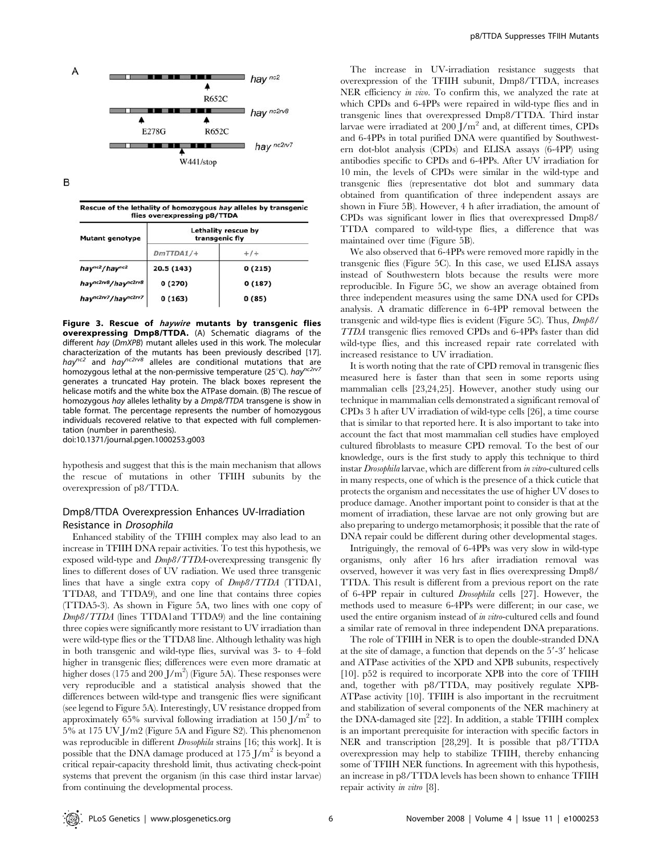

B

Rescue of the lethality of homozygous hay alleles by transgenic flies overexpressing p8/TTDA

| <b>Mutant genotype</b>                       | <b>Lethality rescue by</b><br>transgenic fly |        |  |
|----------------------------------------------|----------------------------------------------|--------|--|
|                                              | $DmTTDA1/+$                                  | $+/-$  |  |
| hay <sup>nc2</sup> /hay <sup>nc2</sup>       | 20.5 (143)                                   | 0(215) |  |
| haync2rv8/haync2rv8                          | 0(270)                                       | 0(187) |  |
| hay <sup>nc2rv7</sup> /hay <sup>nc2rv7</sup> | 0(163)                                       | 0(85)  |  |

Figure 3. Rescue of *haywire* mutants by transgenic flies overexpressing Dmp8/TTDA. (A) Schematic diagrams of the different hay (DmXPB) mutant alleles used in this work. The molecular characterization of the mutants has been previously described [17].<br>hay<sup>nc2</sup> and hay<sup>nc2rv8</sup> alleles are conditional mutations that are homozygous lethal at the non-permissive temperature (25°C). hay<sup>nc2rv7</sup> generates a truncated Hay protein. The black boxes represent the helicase motifs and the white box the ATPase domain. (B) The rescue of homozygous hay alleles lethality by a Dmp8/TTDA transgene is show in table format. The percentage represents the number of homozygous individuals recovered relative to that expected with full complementation (number in parenthesis).

doi:10.1371/journal.pgen.1000253.g003

hypothesis and suggest that this is the main mechanism that allows the rescue of mutations in other TFIIH subunits by the overexpression of p8/TTDA.

# Dmp8/TTDA Overexpression Enhances UV-Irradiation Resistance in Drosophila

Enhanced stability of the TFIIH complex may also lead to an increase in TFIIH DNA repair activities. To test this hypothesis, we exposed wild-type and Dmp8/TTDA-overexpressing transgenic fly lines to different doses of UV radiation. We used three transgenic lines that have a single extra copy of Dmp8/TTDA (TTDA1, TTDA8, and TTDA9), and one line that contains three copies (TTDA5-3). As shown in Figure 5A, two lines with one copy of Dmp8/TTDA (lines TTDA1and TTDA9) and the line containing three copies were significantly more resistant to UV irradiation than were wild-type flies or the TTDA8 line. Although lethality was high in both transgenic and wild-type flies, survival was 3- to 4–fold higher in transgenic flies; differences were even more dramatic at higher doses (175 and 200  $J/m^2$ ) (Figure 5A). These responses were very reproducible and a statistical analysis showed that the differences between wild-type and transgenic flies were significant (see legend to Figure 5A). Interestingly, UV resistance dropped from approximately 65% survival following irradiation at  $150 \text{ J/m}^2$  to 5% at 175 UV J/m2 (Figure 5A and Figure S2). This phenomenon was reproducible in different Drosophila strains [16; this work]. It is possible that the DNA damage produced at  $175 \text{ J/m}^2$  is beyond a critical repair-capacity threshold limit, thus activating check-point systems that prevent the organism (in this case third instar larvae) from continuing the developmental process.

The increase in UV-irradiation resistance suggests that overexpression of the TFIIH subunit, Dmp8/TTDA, increases NER efficiency *in vivo*. To confirm this, we analyzed the rate at which CPDs and 6-4PPs were repaired in wild-type flies and in transgenic lines that overexpressed Dmp8/TTDA. Third instar larvae were irradiated at  $200$  J/m<sup>2</sup> and, at different times, CPDs and 6-4PPs in total purified DNA were quantified by Southwestern dot-blot analysis (CPDs) and ELISA assays (6-4PP) using antibodies specific to CPDs and 6-4PPs. After UV irradiation for 10 min, the levels of CPDs were similar in the wild-type and transgenic flies (representative dot blot and summary data obtained from quantification of three independent assays are shown in Fiure 5B). However, 4 h after irradiation, the amount of CPDs was significant lower in flies that overexpressed Dmp8/ TTDA compared to wild-type flies, a difference that was maintained over time (Figure 5B).

We also observed that 6-4PPs were removed more rapidly in the transgenic flies (Figure 5C). In this case, we used ELISA assays instead of Southwestern blots because the results were more reproducible. In Figure 5C, we show an average obtained from three independent measures using the same DNA used for CPDs analysis. A dramatic difference in 6-4PP removal between the transgenic and wild-type flies is evident (Figure 5C). Thus, Dmp8/ TTDA transgenic flies removed CPDs and 6-4PPs faster than did wild-type flies, and this increased repair rate correlated with increased resistance to UV irradiation.

It is worth noting that the rate of CPD removal in transgenic flies measured here is faster than that seen in some reports using mammalian cells [23,24,25]. However, another study using our technique in mammalian cells demonstrated a significant removal of CPDs 3 h after UV irradiation of wild-type cells [26], a time course that is similar to that reported here. It is also important to take into account the fact that most mammalian cell studies have employed cultured fibroblasts to measure CPD removal. To the best of our knowledge, ours is the first study to apply this technique to third instar Drosophila larvae, which are different from in vitro-cultured cells in many respects, one of which is the presence of a thick cuticle that protects the organism and necessitates the use of higher UV doses to produce damage. Another important point to consider is that at the moment of irradiation, these larvae are not only growing but are also preparing to undergo metamorphosis; it possible that the rate of DNA repair could be different during other developmental stages.

Intriguingly, the removal of 6-4PPs was very slow in wild-type organisms, only after 16 hrs after irradiation removal was ovserved, however it was very fast in flies overexpressing Dmp8/ TTDA. This result is different from a previous report on the rate of 6-4PP repair in cultured Drosophila cells [27]. However, the methods used to measure 6-4PPs were different; in our case, we used the entire organism instead of in vitro-cultured cells and found a similar rate of removal in three independent DNA preparations.

The role of TFIIH in NER is to open the double-stranded DNA at the site of damage, a function that depends on the 5'-3' helicase and ATPase activities of the XPD and XPB subunits, respectively [10]. p52 is required to incorporate XPB into the core of TFIIH and, together with p8/TTDA, may positively regulate XPB-ATPase activity [10]. TFIIH is also important in the recruitment and stabilization of several components of the NER machinery at the DNA-damaged site [22]. In addition, a stable TFIIH complex is an important prerequisite for interaction with specific factors in NER and transcription [28,29]. It is possible that p8/TTDA overexpression may help to stabilize TFIIH, thereby enhancing some of TFIIH NER functions. In agreement with this hypothesis, an increase in p8/TTDA levels has been shown to enhance TFIIH repair activity in vitro [8].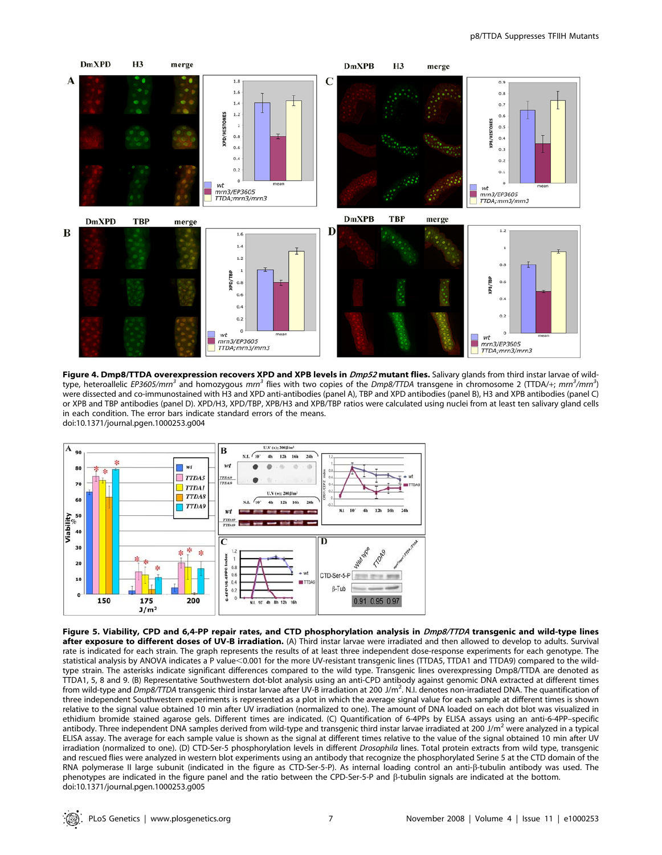

Figure 4. Dmp8/TTDA overexpression recovers XPD and XPB levels in Dmp52 mutant flies. Salivary glands from third instar larvae of wildtype, heteroallelic EP3605/mrn<sup>3</sup> and homozygous mrn<sup>3</sup> flies with two copies of the Dmp8/TTDA transgene in chromosome 2 (TTDA/+; mrn<sup>3</sup>/mrn<sup>3</sup>) were dissected and co-immunostained with H3 and XPD anti-antibodies (panel A), TBP and XPD antibodies (panel B), H3 and XPB antibodies (panel C) or XPB and TBP antibodies (panel D). XPD/H3, XPD/TBP, XPB/H3 and XPB/TBP ratios were calculated using nuclei from at least ten salivary gland cells in each condition. The error bars indicate standard errors of the means. doi:10.1371/journal.pgen.1000253.g004



Figure 5. Viability, CPD and 6,4-PP repair rates, and CTD phosphorylation analysis in Dmp8/TTDA transgenic and wild-type lines after exposure to different doses of UV-B irradiation. (A) Third instar larvae were irradiated and then allowed to develop to adults. Survival rate is indicated for each strain. The graph represents the results of at least three independent dose-response experiments for each genotype. The statistical analysis by ANOVA indicates a P value<0.001 for the more UV-resistant transgenic lines (TTDA5, TTDA1 and TTDA9) compared to the wildtype strain. The asterisks indicate significant differences compared to the wild type. Transgenic lines overexpressing Dmp8/TTDA are denoted as TTDA1, 5, 8 and 9. (B) Representative Southwestern dot-blot analysis using an anti-CPD antibody against genomic DNA extracted at different times from wild-type and Dmp8/TTDA transgenic third instar larvae after UV-B irradiation at 200 J/m<sup>2</sup>. N.I. denotes non-irradiated DNA. The quantification of three independent Southwestern experiments is represented as a plot in which the average signal value for each sample at different times is shown relative to the signal value obtained 10 min after UV irradiation (normalized to one). The amount of DNA loaded on each dot blot was visualized in ethidium bromide stained agarose gels. Different times are indicated. (C) Quantification of 6-4PPs by ELISA assays using an anti-6-4PP–specific antibody. Three independent DNA samples derived from wild-type and transgenic third instar larvae irradiated at 200 J/m<sup>2</sup> were analyzed in a typical ELISA assay. The average for each sample value is shown as the signal at different times relative to the value of the signal obtained 10 min after UV irradiation (normalized to one). (D) CTD-Ser-5 phosphorylation levels in different Drosophila lines. Total protein extracts from wild type, transgenic and rescued flies were analyzed in western blot experiments using an antibody that recognize the phosphorylated Serine 5 at the CTD domain of the RNA polymerase II large subunit (indicated in the figure as CTD-Ser-5-P). As internal loading control an anti-b-tubulin antibody was used. The phenotypes are indicated in the figure panel and the ratio between the CPD-Ser-5-P and b-tubulin signals are indicated at the bottom. doi:10.1371/journal.pgen.1000253.g005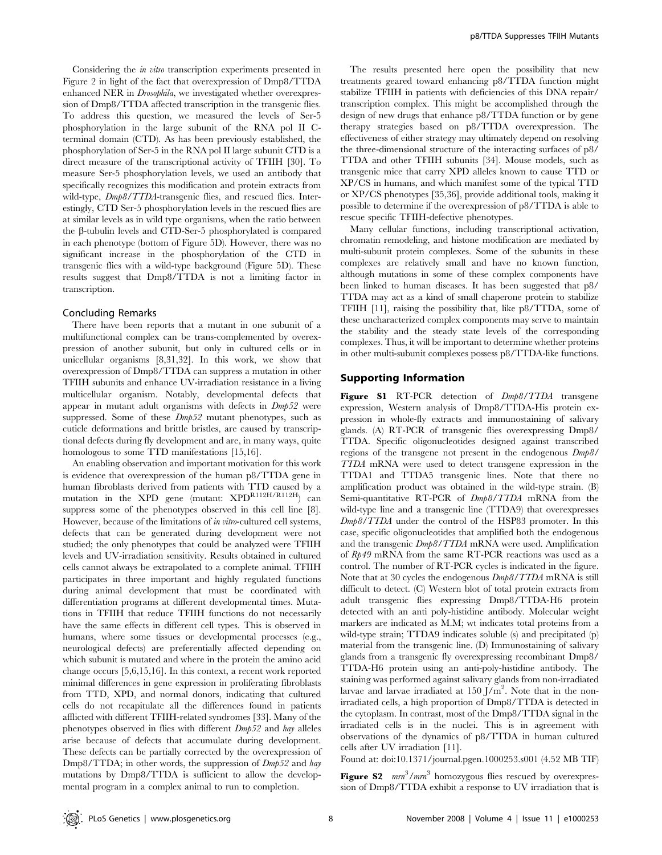Considering the in vitro transcription experiments presented in Figure 2 in light of the fact that overexpression of Dmp8/TTDA enhanced NER in Drosophila, we investigated whether overexpression of Dmp8/TTDA affected transcription in the transgenic flies. To address this question, we measured the levels of Ser-5 phosphorylation in the large subunit of the RNA pol II Cterminal domain (CTD). As has been previously established, the phosphorylation of Ser-5 in the RNA pol II large subunit CTD is a direct measure of the transcriptional activity of TFIIH [30]. To measure Ser-5 phosphorylation levels, we used an antibody that specifically recognizes this modification and protein extracts from wild-type,  $Dmb8/TTDA$ -transgenic flies, and rescued flies. Interestingly, CTD Ser-5 phosphorylation levels in the rescued flies are at similar levels as in wild type organisms, when the ratio between the  $\beta$ -tubulin levels and CTD-Ser-5 phosphorylated is compared in each phenotype (bottom of Figure 5D). However, there was no significant increase in the phosphorylation of the CTD in transgenic flies with a wild-type background (Figure 5D). These results suggest that Dmp8/TTDA is not a limiting factor in transcription.

## Concluding Remarks

There have been reports that a mutant in one subunit of a multifunctional complex can be trans-complemented by overexpression of another subunit, but only in cultured cells or in unicellular organisms [8,31,32]. In this work, we show that overexpression of Dmp8/TTDA can suppress a mutation in other TFIIH subunits and enhance UV-irradiation resistance in a living multicellular organism. Notably, developmental defects that appear in mutant adult organisms with defects in Dmp52 were suppressed. Some of these  $Dmp52$  mutant phenotypes, such as cuticle deformations and brittle bristles, are caused by transcriptional defects during fly development and are, in many ways, quite homologous to some TTD manifestations [15,16].

An enabling observation and important motivation for this work is evidence that overexpression of the human p8/TTDA gene in human fibroblasts derived from patients with TTD caused by a mutation in the XPD gene (mutant:  $XPD^{R112H/R112H}$ ) can suppress some of the phenotypes observed in this cell line [8]. However, because of the limitations of *in vitro*-cultured cell systems, defects that can be generated during development were not studied; the only phenotypes that could be analyzed were TFIIH levels and UV-irradiation sensitivity. Results obtained in cultured cells cannot always be extrapolated to a complete animal. TFIIH participates in three important and highly regulated functions during animal development that must be coordinated with differentiation programs at different developmental times. Mutations in TFIIH that reduce TFIIH functions do not necessarily have the same effects in different cell types. This is observed in humans, where some tissues or developmental processes (e.g., neurological defects) are preferentially affected depending on which subunit is mutated and where in the protein the amino acid change occurs [5,6,15,16]. In this context, a recent work reported minimal differences in gene expression in proliferating fibroblasts from TTD, XPD, and normal donors, indicating that cultured cells do not recapitulate all the differences found in patients afflicted with different TFIIH-related syndromes [33]. Many of the phenotypes observed in flies with different Dmp52 and hay alleles arise because of defects that accumulate during development. These defects can be partially corrected by the overexpression of Dmp8/TTDA; in other words, the suppression of  $Dmp52$  and hay mutations by Dmp8/TTDA is sufficient to allow the developmental program in a complex animal to run to completion.

The results presented here open the possibility that new treatments geared toward enhancing p8/TTDA function might stabilize TFIIH in patients with deficiencies of this DNA repair/ transcription complex. This might be accomplished through the design of new drugs that enhance p8/TTDA function or by gene therapy strategies based on p8/TTDA overexpression. The effectiveness of either strategy may ultimately depend on resolving the three-dimensional structure of the interacting surfaces of p8/ TTDA and other TFIIH subunits [34]. Mouse models, such as transgenic mice that carry XPD alleles known to cause TTD or XP/CS in humans, and which manifest some of the typical TTD or XP/CS phenotypes [35,36], provide additional tools, making it possible to determine if the overexpression of p8/TTDA is able to rescue specific TFIIH-defective phenotypes.

Many cellular functions, including transcriptional activation, chromatin remodeling, and histone modification are mediated by multi-subunit protein complexes. Some of the subunits in these complexes are relatively small and have no known function, although mutations in some of these complex components have been linked to human diseases. It has been suggested that p8/ TTDA may act as a kind of small chaperone protein to stabilize TFIIH [11], raising the possibility that, like p8/TTDA, some of these uncharacterized complex components may serve to maintain the stability and the steady state levels of the corresponding complexes. Thus, it will be important to determine whether proteins in other multi-subunit complexes possess p8/TTDA-like functions.

## Supporting Information

Figure S1 RT-PCR detection of  $Dmb8/TTDA$  transgene expression, Western analysis of Dmp8/TTDA-His protein expression in whole-fly extracts and immunostaining of salivary glands. (A) RT-PCR of transgenic flies overexpressing Dmp8/ TTDA. Specific oligonucleotides designed against transcribed regions of the transgene not present in the endogenous Dmp8/ TTDA mRNA were used to detect transgene expression in the TTDA1 and TTDA5 transgenic lines. Note that there no amplification product was obtained in the wild-type strain. (B) Semi-quantitative RT-PCR of  $Dmb8/TTDA$  mRNA from the wild-type line and a transgenic line (TTDA9) that overexpresses Dmp8/TTDA under the control of the HSP83 promoter. In this case, specific oligonucleotides that amplified both the endogenous and the transgenic Dmp8/TTDA mRNA were used. Amplification of Rp49 mRNA from the same RT-PCR reactions was used as a control. The number of RT-PCR cycles is indicated in the figure. Note that at 30 cycles the endogenous Dmp8/TTDA mRNA is still difficult to detect. (C) Western blot of total protein extracts from adult transgenic flies expressing Dmp8/TTDA-H6 protein detected with an anti poly-histidine antibody. Molecular weight markers are indicated as M.M; wt indicates total proteins from a wild-type strain; TTDA9 indicates soluble (s) and precipitated (p) material from the transgenic line. (D) Immunostaining of salivary glands from a transgenic fly overexpressing recombinant Dmp8/ TTDA-H6 protein using an anti-poly-histidine antibody. The staining was performed against salivary glands from non-irradiated larvae and larvae irradiated at  $150 \text{ J/m}^2$ . Note that in the nonirradiated cells, a high proportion of Dmp8/TTDA is detected in the cytoplasm. In contrast, most of the Dmp8/TTDA signal in the irradiated cells is in the nuclei. This is in agreement with observations of the dynamics of p8/TTDA in human cultured cells after UV irradiation [11].

Found at: doi:10.1371/journal.pgen.1000253.s001 (4.52 MB TIF)

Figure S2  $mm^3/mm^3$  homozygous flies rescued by overexpression of Dmp8/TTDA exhibit a response to UV irradiation that is